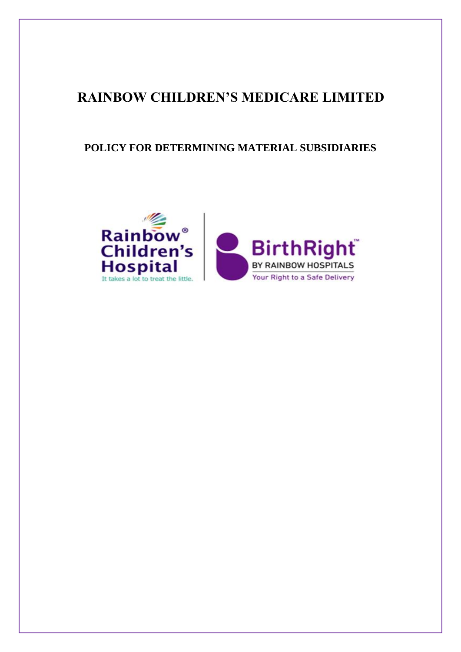# **RAINBOW CHILDREN'S MEDICARE LIMITED**

# **POLICY FOR DETERMINING MATERIAL SUBSIDIARIES**

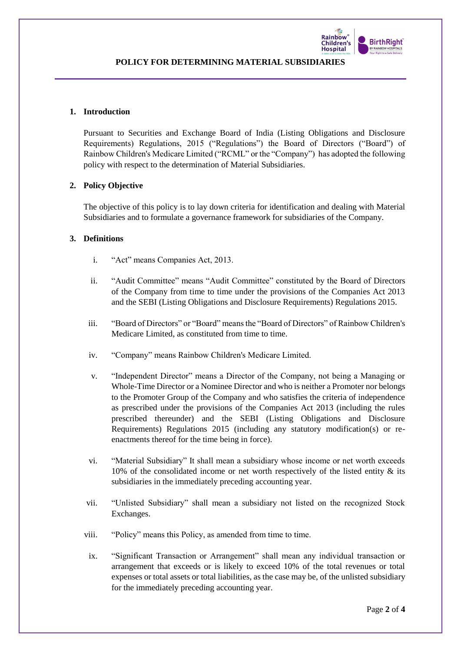

# **POLICY FOR DETERMINING MATERIAL SUBSIDIARIES**

# **1. Introduction**

Pursuant to Securities and Exchange Board of India (Listing Obligations and Disclosure Requirements) Regulations, 2015 ("Regulations") the Board of Directors ("Board") of Rainbow Children's Medicare Limited ("RCML" or the "Company") has adopted the following policy with respect to the determination of Material Subsidiaries.

# **2. Policy Objective**

The objective of this policy is to lay down criteria for identification and dealing with Material Subsidiaries and to formulate a governance framework for subsidiaries of the Company.

# **3. Definitions**

- i. "Act" means Companies Act, 2013.
- ii. "Audit Committee" means "Audit Committee" constituted by the Board of Directors of the Company from time to time under the provisions of the Companies Act 2013 and the SEBI (Listing Obligations and Disclosure Requirements) Regulations 2015.
- iii. "Board of Directors" or "Board" means the "Board of Directors" of Rainbow Children's Medicare Limited, as constituted from time to time.
- iv. "Company" means Rainbow Children's Medicare Limited.
- v. "Independent Director" means a Director of the Company, not being a Managing or Whole-Time Director or a Nominee Director and who is neither a Promoter nor belongs to the Promoter Group of the Company and who satisfies the criteria of independence as prescribed under the provisions of the Companies Act 2013 (including the rules prescribed thereunder) and the SEBI (Listing Obligations and Disclosure Requirements) Regulations 2015 (including any statutory modification(s) or reenactments thereof for the time being in force).
- vi. "Material Subsidiary" It shall mean a subsidiary whose income or net worth exceeds 10% of the consolidated income or net worth respectively of the listed entity  $\&$  its subsidiaries in the immediately preceding accounting year.
- vii. "Unlisted Subsidiary" shall mean a subsidiary not listed on the recognized Stock Exchanges.
- viii. "Policy" means this Policy, as amended from time to time.
- ix. "Significant Transaction or Arrangement" shall mean any individual transaction or arrangement that exceeds or is likely to exceed 10% of the total revenues or total expenses or total assets or total liabilities, as the case may be, of the unlisted subsidiary for the immediately preceding accounting year.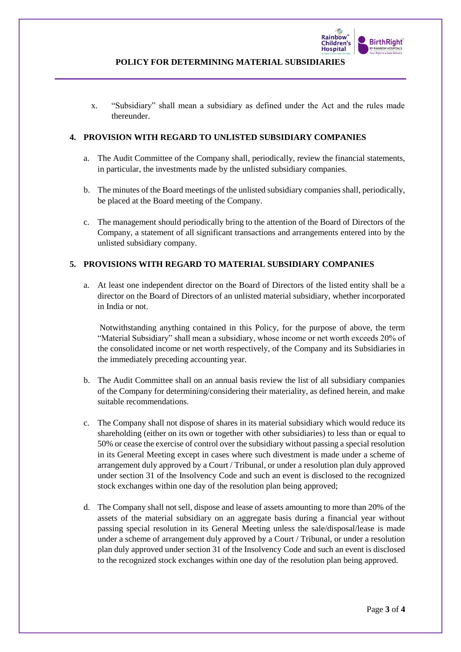

**POLICY FOR DETERMINING MATERIAL SUBSIDIARIES**

x. "Subsidiary" shall mean a subsidiary as defined under the Act and the rules made thereunder.

# **4. PROVISION WITH REGARD TO UNLISTED SUBSIDIARY COMPANIES**

- a. The Audit Committee of the Company shall, periodically, review the financial statements, in particular, the investments made by the unlisted subsidiary companies.
- b. The minutes of the Board meetings of the unlisted subsidiary companies shall, periodically, be placed at the Board meeting of the Company.
- c. The management should periodically bring to the attention of the Board of Directors of the Company, a statement of all significant transactions and arrangements entered into by the unlisted subsidiary company.

# **5. PROVISIONS WITH REGARD TO MATERIAL SUBSIDIARY COMPANIES**

a. At least one independent director on the Board of Directors of the listed entity shall be a director on the Board of Directors of an unlisted material subsidiary, whether incorporated in India or not.

Notwithstanding anything contained in this Policy, for the purpose of above, the term "Material Subsidiary" shall mean a subsidiary, whose income or net worth exceeds 20% of the consolidated income or net worth respectively, of the Company and its Subsidiaries in the immediately preceding accounting year.

- b. The Audit Committee shall on an annual basis review the list of all subsidiary companies of the Company for determining/considering their materiality, as defined herein, and make suitable recommendations.
- c. The Company shall not dispose of shares in its material subsidiary which would reduce its shareholding (either on its own or together with other subsidiaries) to less than or equal to 50% or cease the exercise of control over the subsidiary without passing a special resolution in its General Meeting except in cases where such divestment is made under a scheme of arrangement duly approved by a Court / Tribunal, or under a resolution plan duly approved under section 31 of the Insolvency Code and such an event is disclosed to the recognized stock exchanges within one day of the resolution plan being approved;
- d. The Company shall not sell, dispose and lease of assets amounting to more than 20% of the assets of the material subsidiary on an aggregate basis during a financial year without passing special resolution in its General Meeting unless the sale/disposal/lease is made under a scheme of arrangement duly approved by a Court / Tribunal, or under a resolution plan duly approved under section 31 of the Insolvency Code and such an event is disclosed to the recognized stock exchanges within one day of the resolution plan being approved.